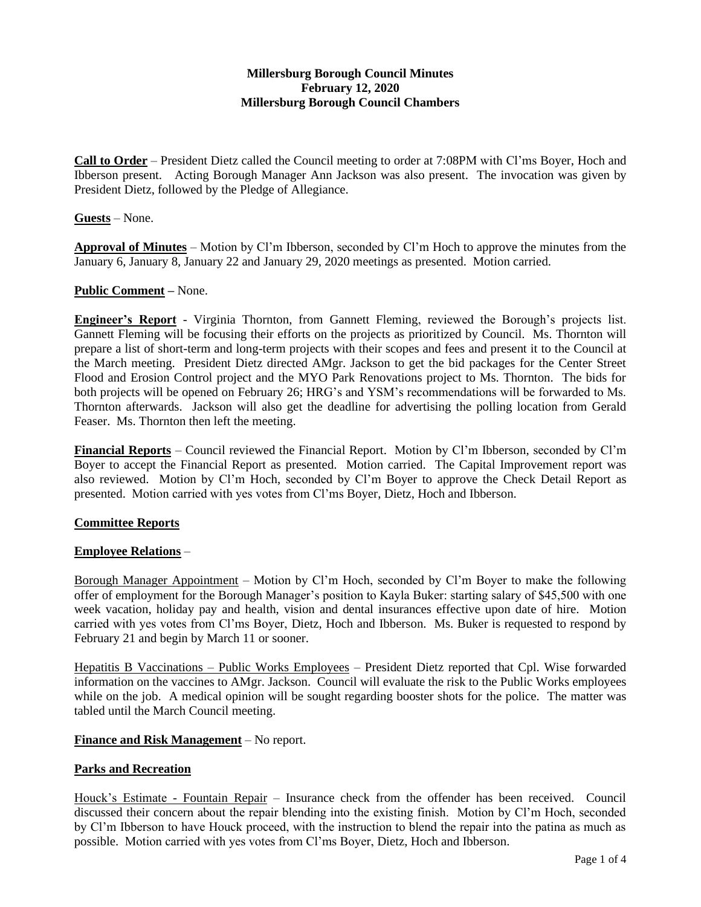## **Millersburg Borough Council Minutes February 12, 2020 Millersburg Borough Council Chambers**

**Call to Order** – President Dietz called the Council meeting to order at 7:08PM with Cl'ms Boyer, Hoch and Ibberson present. Acting Borough Manager Ann Jackson was also present. The invocation was given by President Dietz, followed by the Pledge of Allegiance.

### **Guests** – None.

**Approval of Minutes** – Motion by Cl'm Ibberson, seconded by Cl'm Hoch to approve the minutes from the January 6, January 8, January 22 and January 29, 2020 meetings as presented. Motion carried.

#### **Public Comment –** None.

**Engineer's Report** - Virginia Thornton, from Gannett Fleming, reviewed the Borough's projects list. Gannett Fleming will be focusing their efforts on the projects as prioritized by Council. Ms. Thornton will prepare a list of short-term and long-term projects with their scopes and fees and present it to the Council at the March meeting. President Dietz directed AMgr. Jackson to get the bid packages for the Center Street Flood and Erosion Control project and the MYO Park Renovations project to Ms. Thornton. The bids for both projects will be opened on February 26; HRG's and YSM's recommendations will be forwarded to Ms. Thornton afterwards. Jackson will also get the deadline for advertising the polling location from Gerald Feaser. Ms. Thornton then left the meeting.

**Financial Reports** – Council reviewed the Financial Report. Motion by Cl'm Ibberson, seconded by Cl'm Boyer to accept the Financial Report as presented. Motion carried. The Capital Improvement report was also reviewed. Motion by Cl'm Hoch, seconded by Cl'm Boyer to approve the Check Detail Report as presented. Motion carried with yes votes from Cl'ms Boyer, Dietz, Hoch and Ibberson.

### **Committee Reports**

### **Employee Relations** –

Borough Manager Appointment – Motion by Cl'm Hoch, seconded by Cl'm Boyer to make the following offer of employment for the Borough Manager's position to Kayla Buker: starting salary of \$45,500 with one week vacation, holiday pay and health, vision and dental insurances effective upon date of hire. Motion carried with yes votes from Cl'ms Boyer, Dietz, Hoch and Ibberson. Ms. Buker is requested to respond by February 21 and begin by March 11 or sooner.

Hepatitis B Vaccinations – Public Works Employees – President Dietz reported that Cpl. Wise forwarded information on the vaccines to AMgr. Jackson. Council will evaluate the risk to the Public Works employees while on the job. A medical opinion will be sought regarding booster shots for the police. The matter was tabled until the March Council meeting.

### **Finance and Risk Management** – No report.

### **Parks and Recreation**

Houck's Estimate - Fountain Repair – Insurance check from the offender has been received. Council discussed their concern about the repair blending into the existing finish. Motion by Cl'm Hoch, seconded by Cl'm Ibberson to have Houck proceed, with the instruction to blend the repair into the patina as much as possible. Motion carried with yes votes from Cl'ms Boyer, Dietz, Hoch and Ibberson.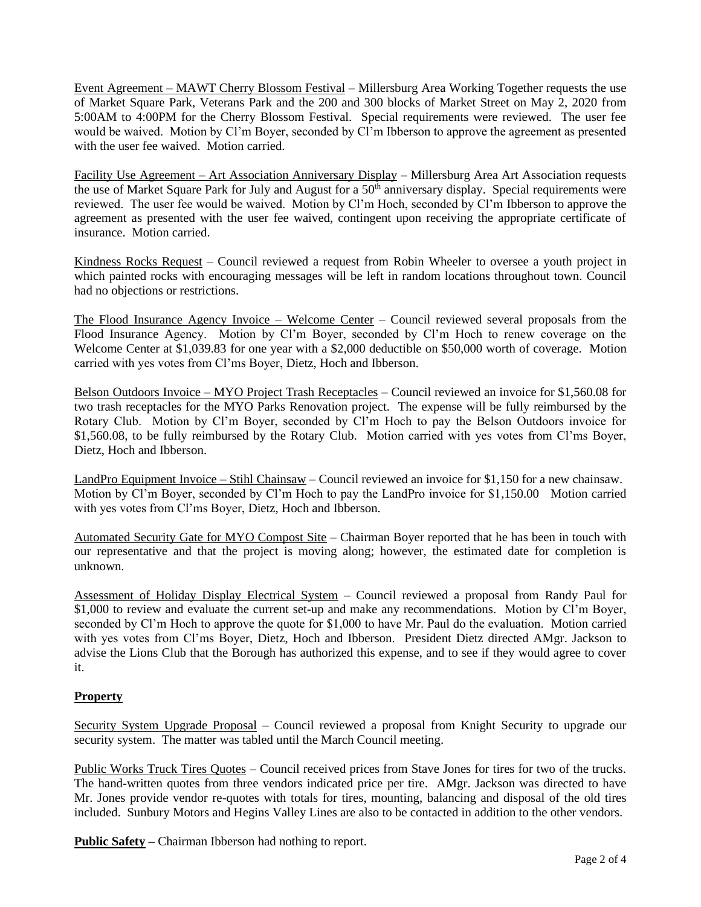Event Agreement – MAWT Cherry Blossom Festival – Millersburg Area Working Together requests the use of Market Square Park, Veterans Park and the 200 and 300 blocks of Market Street on May 2, 2020 from 5:00AM to 4:00PM for the Cherry Blossom Festival. Special requirements were reviewed. The user fee would be waived. Motion by Cl'm Boyer, seconded by Cl'm Ibberson to approve the agreement as presented with the user fee waived. Motion carried.

Facility Use Agreement – Art Association Anniversary Display – Millersburg Area Art Association requests the use of Market Square Park for July and August for a  $50<sup>th</sup>$  anniversary display. Special requirements were reviewed. The user fee would be waived. Motion by Cl'm Hoch, seconded by Cl'm Ibberson to approve the agreement as presented with the user fee waived, contingent upon receiving the appropriate certificate of insurance. Motion carried.

Kindness Rocks Request – Council reviewed a request from Robin Wheeler to oversee a youth project in which painted rocks with encouraging messages will be left in random locations throughout town. Council had no objections or restrictions.

The Flood Insurance Agency Invoice – Welcome Center – Council reviewed several proposals from the Flood Insurance Agency. Motion by Cl'm Boyer, seconded by Cl'm Hoch to renew coverage on the Welcome Center at \$1,039.83 for one year with a \$2,000 deductible on \$50,000 worth of coverage. Motion carried with yes votes from Cl'ms Boyer, Dietz, Hoch and Ibberson.

Belson Outdoors Invoice – MYO Project Trash Receptacles – Council reviewed an invoice for \$1,560.08 for two trash receptacles for the MYO Parks Renovation project. The expense will be fully reimbursed by the Rotary Club. Motion by Cl'm Boyer, seconded by Cl'm Hoch to pay the Belson Outdoors invoice for \$1,560.08, to be fully reimbursed by the Rotary Club. Motion carried with yes votes from Cl'ms Boyer, Dietz, Hoch and Ibberson.

LandPro Equipment Invoice – Stihl Chainsaw – Council reviewed an invoice for \$1,150 for a new chainsaw. Motion by Cl'm Boyer, seconded by Cl'm Hoch to pay the LandPro invoice for \$1,150.00 Motion carried with yes votes from Cl'ms Boyer, Dietz, Hoch and Ibberson.

Automated Security Gate for MYO Compost Site – Chairman Boyer reported that he has been in touch with our representative and that the project is moving along; however, the estimated date for completion is unknown.

Assessment of Holiday Display Electrical System – Council reviewed a proposal from Randy Paul for \$1,000 to review and evaluate the current set-up and make any recommendations. Motion by Cl'm Boyer, seconded by Cl'm Hoch to approve the quote for \$1,000 to have Mr. Paul do the evaluation. Motion carried with yes votes from Cl'ms Boyer, Dietz, Hoch and Ibberson. President Dietz directed AMgr. Jackson to advise the Lions Club that the Borough has authorized this expense, and to see if they would agree to cover it.

# **Property**

Security System Upgrade Proposal – Council reviewed a proposal from Knight Security to upgrade our security system. The matter was tabled until the March Council meeting.

Public Works Truck Tires Quotes – Council received prices from Stave Jones for tires for two of the trucks. The hand-written quotes from three vendors indicated price per tire. AMgr. Jackson was directed to have Mr. Jones provide vendor re-quotes with totals for tires, mounting, balancing and disposal of the old tires included. Sunbury Motors and Hegins Valley Lines are also to be contacted in addition to the other vendors.

**Public Safety –** Chairman Ibberson had nothing to report.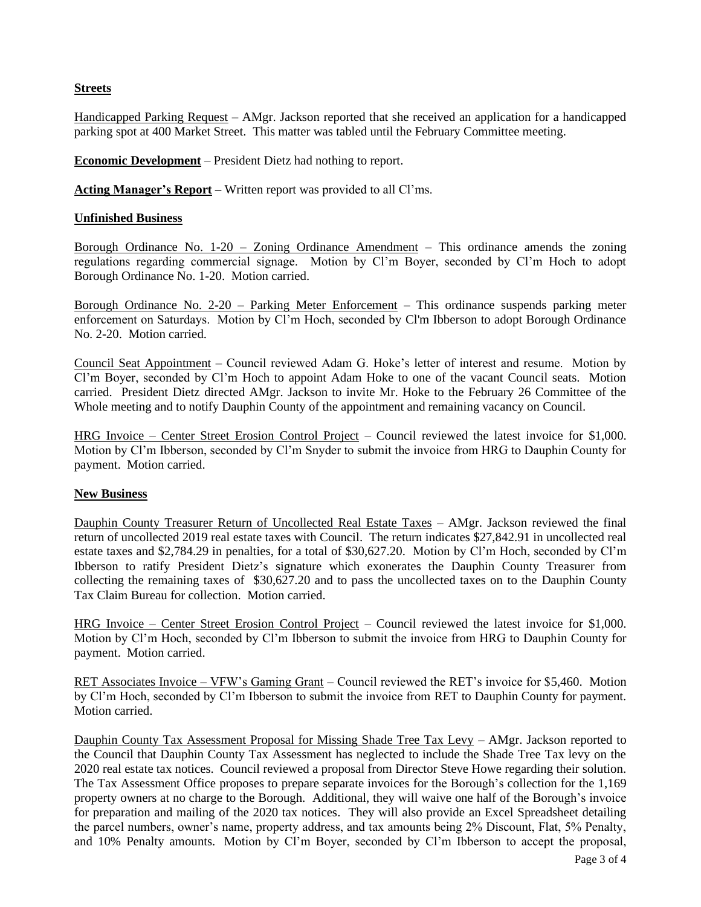# **Streets**

Handicapped Parking Request – AMgr. Jackson reported that she received an application for a handicapped parking spot at 400 Market Street. This matter was tabled until the February Committee meeting.

**Economic Development** – President Dietz had nothing to report.

**Acting Manager's Report –** Written report was provided to all Cl'ms.

## **Unfinished Business**

Borough Ordinance No.  $1-20$  – Zoning Ordinance Amendment – This ordinance amends the zoning regulations regarding commercial signage. Motion by Cl'm Boyer, seconded by Cl'm Hoch to adopt Borough Ordinance No. 1-20. Motion carried.

Borough Ordinance No. 2-20 – Parking Meter Enforcement – This ordinance suspends parking meter enforcement on Saturdays. Motion by Cl'm Hoch, seconded by Cl'm Ibberson to adopt Borough Ordinance No. 2-20. Motion carried.

Council Seat Appointment – Council reviewed Adam G. Hoke's letter of interest and resume. Motion by Cl'm Boyer, seconded by Cl'm Hoch to appoint Adam Hoke to one of the vacant Council seats. Motion carried. President Dietz directed AMgr. Jackson to invite Mr. Hoke to the February 26 Committee of the Whole meeting and to notify Dauphin County of the appointment and remaining vacancy on Council.

HRG Invoice – Center Street Erosion Control Project – Council reviewed the latest invoice for \$1,000. Motion by Cl'm Ibberson, seconded by Cl'm Snyder to submit the invoice from HRG to Dauphin County for payment. Motion carried.

### **New Business**

Dauphin County Treasurer Return of Uncollected Real Estate Taxes – AMgr. Jackson reviewed the final return of uncollected 2019 real estate taxes with Council. The return indicates \$27,842.91 in uncollected real estate taxes and \$2,784.29 in penalties, for a total of \$30,627.20. Motion by Cl'm Hoch, seconded by Cl'm Ibberson to ratify President Dietz's signature which exonerates the Dauphin County Treasurer from collecting the remaining taxes of \$30,627.20 and to pass the uncollected taxes on to the Dauphin County Tax Claim Bureau for collection. Motion carried.

HRG Invoice – Center Street Erosion Control Project – Council reviewed the latest invoice for \$1,000. Motion by Cl'm Hoch, seconded by Cl'm Ibberson to submit the invoice from HRG to Dauphin County for payment. Motion carried.

RET Associates Invoice – VFW's Gaming Grant – Council reviewed the RET's invoice for \$5,460. Motion by Cl'm Hoch, seconded by Cl'm Ibberson to submit the invoice from RET to Dauphin County for payment. Motion carried.

Dauphin County Tax Assessment Proposal for Missing Shade Tree Tax Levy – AMgr. Jackson reported to the Council that Dauphin County Tax Assessment has neglected to include the Shade Tree Tax levy on the 2020 real estate tax notices. Council reviewed a proposal from Director Steve Howe regarding their solution. The Tax Assessment Office proposes to prepare separate invoices for the Borough's collection for the 1,169 property owners at no charge to the Borough. Additional, they will waive one half of the Borough's invoice for preparation and mailing of the 2020 tax notices. They will also provide an Excel Spreadsheet detailing the parcel numbers, owner's name, property address, and tax amounts being 2% Discount, Flat, 5% Penalty, and 10% Penalty amounts. Motion by Cl'm Boyer, seconded by Cl'm Ibberson to accept the proposal,